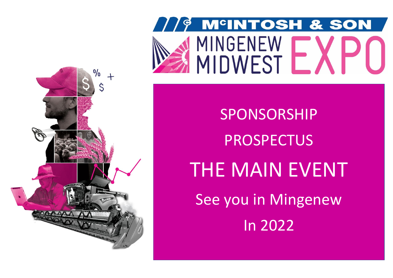



SPONSORSHIP PROSPECTUS THE MAIN EVENT See you in Mingenew In 2022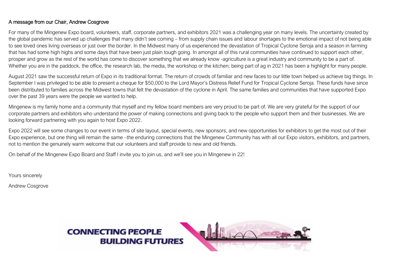## A message from our Chair, Andrew Cosgrove

For many of the Mingenew Expo board, volunteers, staff, corporate partners, and exhibitors 2021 was a challenging year on many levels. The uncertainty created by the global pandemic has served up challenges that many didn't see coming – from supply chain issues and labour shortages to the emotional impact of not being able to see loved ones living overseas or just over the border. In the Midwest many of us experienced the devastation of Tropical Cyclone Seroja and a season in farming that has had some high highs and some days that have been just plain tough going. In amongst all of this rural communities have continued to support each other, prosper and grow as the rest of the world has come to discover something that we already know -agriculture is a great industry and community to be a part of. Whether you are in the paddock, the office, the research lab, the media, the workshop or the kitchen; being part of ag in 2021 has been a highlight for many people.

August 2021 saw the successful return of Expo in its traditional format. The return of crowds of familiar and new faces to our little town helped us achieve big things. In September I was privileged to be able to present a cheque for \$50,000 to the Lord Mayor's Distress Relief Fund for Tropical Cyclone Seroja. These funds have since been distributed to families across the Midwest towns that felt the devastation of the cyclone in April. The same families and communities that have supported Expo over the past 39 years were the people we wanted to help.

Mingenew is my family home and a community that myself and my fellow board members are very proud to be part of. We are very grateful for the support of our corporate partners and exhibitors who understand the power of making connections and giving back to the people who support them and their businesses. We are looking forward partnering with you again to host Expo 2022.

Expo 2022 will see some changes to our event in terms of site layout, special events, new sponsors, and new opportunities for exhibitors to get the most out of their Expo experience, but one thing will remain the same –the enduring connections that the Mingenew Community has with all our Expo visitors, exhibitors, and partners, not to mention the genuinely warm welcome that our volunteers and staff provide to new and old friends.

On behalf of the Mingenew Expo Board and Staff I invite you to join us, and we'll see you in Mingenew in 22!

Yours sincerely

Andrew Cosgrove

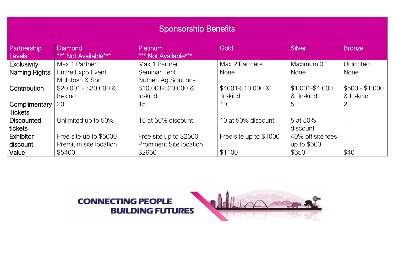## Sponsorship Benefits

| Partnership<br>Levels | <b>Diamond</b><br>*** Not Available*** | <b>Platinum</b><br>*** Not Available*** | Gold                   | <b>Silver</b>     | <b>Bronze</b>   |
|-----------------------|----------------------------------------|-----------------------------------------|------------------------|-------------------|-----------------|
| <b>Exclusivity</b>    | Max 1 Partner                          | Max 1 Partner                           | Max 2 Partners         | Maximum 3         | Unlimited       |
| Naming Rights         | Entire Expo Event                      | Seminar Tent                            | None                   | <b>None</b>       | None            |
|                       | McIntosh & Son                         | <b>Nutrien Ag Solutions</b>             |                        |                   |                 |
| Contribution          | $$20,001 - $30,000$ &                  | \$10,001-\$20,000 &                     | \$4001-\$10,000 &      | $$1,001 - $4,000$ | $$500 - $1,000$ |
|                       | In-kind                                | In-kind                                 | In-kind                | & In-kind         | & In-kind       |
| Complimentary         | 20                                     | 15                                      | 10                     | 5                 | 2               |
| <b>Tickets</b>        |                                        |                                         |                        |                   |                 |
| <b>Discounted</b>     | Unlimited up to 50%                    | 15 at 50% discount                      | 10 at 50% discount     | 5 at 50%          |                 |
| tickets               |                                        |                                         |                        | discount          |                 |
| <b>Exhibitor</b>      | Free site up to \$5000                 | Free site up to \$2500                  | Free site up to \$1000 | 40% off site fees |                 |
| discount              | Premium site location                  | Prominent Site location                 |                        | up to \$500       |                 |
| Value                 | \$5400                                 | \$2650                                  | \$1100                 | \$550             | \$40            |

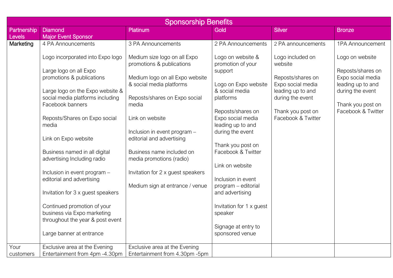| <b>Sponsorship Benefits</b> |                                                                                                                                                                                                                                                                                                                                                                                                                                                                                                                           |                                                                                                                                                                                                                                                                                                                                                                                     |                                                                                                                                                                                                                                                                                                                                                                  |                                                                                                                                                           |                                                                                                                                               |  |  |  |  |
|-----------------------------|---------------------------------------------------------------------------------------------------------------------------------------------------------------------------------------------------------------------------------------------------------------------------------------------------------------------------------------------------------------------------------------------------------------------------------------------------------------------------------------------------------------------------|-------------------------------------------------------------------------------------------------------------------------------------------------------------------------------------------------------------------------------------------------------------------------------------------------------------------------------------------------------------------------------------|------------------------------------------------------------------------------------------------------------------------------------------------------------------------------------------------------------------------------------------------------------------------------------------------------------------------------------------------------------------|-----------------------------------------------------------------------------------------------------------------------------------------------------------|-----------------------------------------------------------------------------------------------------------------------------------------------|--|--|--|--|
| Partnership                 | <b>Diamond</b>                                                                                                                                                                                                                                                                                                                                                                                                                                                                                                            | Platinum                                                                                                                                                                                                                                                                                                                                                                            | Gold                                                                                                                                                                                                                                                                                                                                                             | Silver                                                                                                                                                    | <b>Bronze</b>                                                                                                                                 |  |  |  |  |
| Levels                      | <b>Major Event Sponsor</b>                                                                                                                                                                                                                                                                                                                                                                                                                                                                                                |                                                                                                                                                                                                                                                                                                                                                                                     |                                                                                                                                                                                                                                                                                                                                                                  |                                                                                                                                                           |                                                                                                                                               |  |  |  |  |
| Marketing                   | 4 PA Announcements                                                                                                                                                                                                                                                                                                                                                                                                                                                                                                        | 3 PA Announcements                                                                                                                                                                                                                                                                                                                                                                  | 2 PA Announcements                                                                                                                                                                                                                                                                                                                                               | 2 PA announcements                                                                                                                                        | 1PA Announcement                                                                                                                              |  |  |  |  |
|                             | Logo incorporated into Expo logo<br>Large logo on all Expo<br>promotions & publications<br>Large logo on the Expo website &<br>social media platforms including<br>Facebook banners<br>Reposts/Shares on Expo social<br>media<br>Link on Expo website<br>Business named in all digital<br>advertising Including radio<br>Inclusion in event program -<br>editorial and advertising<br>Invitation for 3 x guest speakers<br>Continued promotion of your<br>business via Expo marketing<br>throughout the year & post event | Medium size logo on all Expo<br>promotions & publications<br>Medium logo on all Expo website<br>& social media platforms<br>Reposts/shares on Expo social<br>media<br>Link on website<br>Inclusion in event program -<br>editorial and advertising<br>Business name included on<br>media promotions (radio)<br>Invitation for 2 x guest speakers<br>Medium sign at entrance / venue | Logo on website &<br>promotion of your<br>support<br>Logo on Expo website<br>& social media<br>platforms<br>Reposts/shares on<br>Expo social media<br>leading up to and<br>during the event<br>Thank you post on<br>Facebook & Twitter<br>Link on website<br>Inclusion in event<br>program - editorial<br>and advertising<br>Invitation for 1 x guest<br>speaker | Logo included on<br>website<br>Reposts/shares on<br>Expo social media<br>leading up to and<br>during the event<br>Thank you post on<br>Facebook & Twitter | Logo on website<br>Reposts/shares on<br>Expo social media<br>leading up to and<br>during the event<br>Thank you post on<br>Facebook & Twitter |  |  |  |  |
|                             |                                                                                                                                                                                                                                                                                                                                                                                                                                                                                                                           |                                                                                                                                                                                                                                                                                                                                                                                     | Signage at entry to                                                                                                                                                                                                                                                                                                                                              |                                                                                                                                                           |                                                                                                                                               |  |  |  |  |
|                             | Large banner at entrance                                                                                                                                                                                                                                                                                                                                                                                                                                                                                                  |                                                                                                                                                                                                                                                                                                                                                                                     | sponsored venue                                                                                                                                                                                                                                                                                                                                                  |                                                                                                                                                           |                                                                                                                                               |  |  |  |  |
| Your                        | Exclusive area at the Evening                                                                                                                                                                                                                                                                                                                                                                                                                                                                                             | Exclusive area at the Evening                                                                                                                                                                                                                                                                                                                                                       |                                                                                                                                                                                                                                                                                                                                                                  |                                                                                                                                                           |                                                                                                                                               |  |  |  |  |
| customers                   | Entertainment from 4pm -4.30pm                                                                                                                                                                                                                                                                                                                                                                                                                                                                                            | Entertainment from 4.30pm -5pm                                                                                                                                                                                                                                                                                                                                                      |                                                                                                                                                                                                                                                                                                                                                                  |                                                                                                                                                           |                                                                                                                                               |  |  |  |  |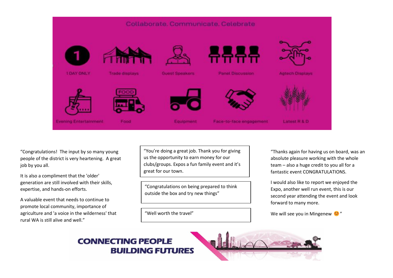## Collaborate, Communicate, Celebrate What people say about Mingenew Midwest Exponential Control and the control of the control of the control of th **1 DAY ONLY** i í Latest R & D **Evening Entertainment** Food Equipment Face-to-face engagement

"Congratulations! The input by so many young people of the district is very heartening. A great job by you all.

It is also a compliment that the 'older' generation are still involved with their skills, expertise, and hands-on efforts.

A valuable event that needs to continue to promote local community, importance of agriculture and 'a voice in the wilderness' that rural WA is still alive and well."

"You're doing a great job. Thank you for giving us the opportunity to earn money for our clubs/groups. Expos a fun family event and it's great for our town.

"Congratulations on being prepared to think outside the box and try new things"

"Thanks again for having us on board, was an absolute pleasure working with the whole team – also a huge credit to you all for a fantastic event CONGRATULATIONS.

I would also like to report we enjoyed the Expo, another well run event, this is our second year attending the event and look forward to many more.

"Well worth the travel"  $\blacksquare$  We will see you in Mingenew  $\Omega$ "

## **CONNECTING PEOPLE BUILDING FUTURES**